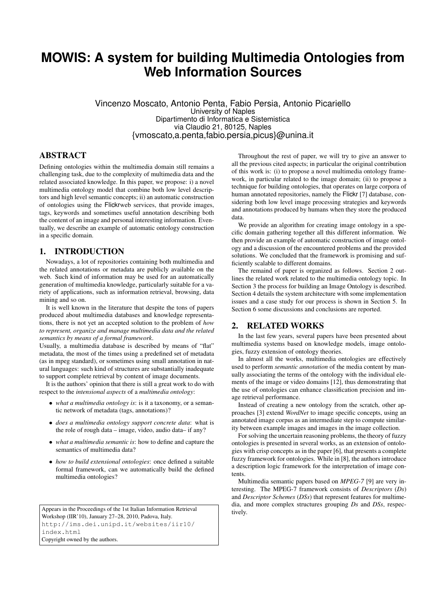# **MOWIS: A system for building Multimedia Ontologies from Web Information Sources**

Vincenzo Moscato, Antonio Penta, Fabio Persia, Antonio Picariello University of Naples Dipartimento di Informatica e Sistemistica via Claudio 21, 80125, Naples {vmoscato,a.penta,fabio.persia,picus}@unina.it

## ABSTRACT

Defining ontologies within the multimedia domain still remains a challenging task, due to the complexity of multimedia data and the related associated knowledge. In this paper, we propose: i) a novel multimedia ontology model that combine both low level descriptors and high level semantic concepts; ii) an automatic construction of ontologies using the Flickrweb services, that provide images, tags, keywords and sometimes useful annotation describing both the content of an image and personal interesting information. Eventually, we describe an example of automatic ontology construction in a specific domain.

## 1. INTRODUCTION

Nowadays, a lot of repositories containing both multimedia and the related annotations or metadata are publicly available on the web. Such kind of information may be used for an automatically generation of multimedia knowledge, particularly suitable for a variety of applications, such as information retrieval, browsing, data mining and so on.

It is well known in the literature that despite the tons of papers produced about multimedia databases and knowledge representations, there is not yet an accepted solution to the problem of *how to represent, organize and manage multimedia data and the related semantics by means of a formal framework*.

Usually, a multimedia database is described by means of "flat" metadata, the most of the times using a predefined set of metadata (as in mpeg standard), or sometimes using small annotation in natural languages: such kind of structures are substantially inadequate to support complete retrieval by content of image documents.

It is the authors' opinion that there is still a great work to do with respect to the *intensional aspects* of a *multimedia ontology*:

- *what a multimedia ontology is*: is it a taxonomy, or a semantic network of metadata (tags, annotations)?
- *does a multimedia ontology support concrete data*: what is the role of rough data – image, video, audio data– if any?
- *what a multimedia semantic is*: how to define and capture the semantics of multimedia data?
- *how to build extensional ontologies*: once defined a suitable formal framework, can we automatically build the defined multimedia ontologies?

Appears in the Proceedings of the 1st Italian Information Retrieval Workshop (IIR'10), January 27–28, 2010, Padova, Italy. http://ims.dei.unipd.it/websites/iir10/ index.html Copyright owned by the authors.

Throughout the rest of paper, we will try to give an answer to all the previous cited aspects; in particular the original contribution of this work is: (i) to propose a novel multimedia ontology framework, in particular related to the image domain; (ii) to propose a technique for building ontologies, that operates on large corpora of human annotated repositories, namely the Flickr [7] database, considering both low level image processing strategies and keywords and annotations produced by humans when they store the produced data.

We provide an algorithm for creating image ontology in a specific domain gathering together all this different information. We then provide an example of automatic construction of image ontology and a discussion of the encountered problems and the provided solutions. We concluded that the framework is promising and sufficiently scalable to different domains.

The remaind of paper is organized as follows. Section 2 outlines the related work related to the multimedia ontology topic. In Section 3 the process for building an Image Ontology is described. Section 4 details the system architecture with some implementation issues and a case study for our process is shown in Section 5. In Section 6 some discussions and conclusions are reported.

#### 2. RELATED WORKS

In the last few years, several papers have been presented about multimedia systems based on knowledge models, image ontologies, fuzzy extension of ontology theories.

In almost all the works, multimedia ontologies are effectively used to perform *semantic annotation* of the media content by manually associating the terms of the ontology with the individual elements of the image or video domains [12], thus demonstrating that the use of ontologies can enhance classification precision and image retrieval performance.

Instead of creating a new ontology from the scratch, other approaches [3] extend *WordNet* to image specific concepts, using an annotated image corpus as an intermediate step to compute similarity between example images and images in the image collection.

For solving the uncertain reasoning problems, the theory of fuzzy ontologies is presented in several works, as an extension of ontologies with crisp concepts as in the paper [6], that presents a complete fuzzy framework for ontologies. While in [8], the authors introduce a description logic framework for the interpretation of image contents.

Multimedia semantic papers based on *MPEG-7* [9] are very interesting. The MPEG-7 framework consists of *Descriptors* (*Ds*) and *Descriptor Schemes* (*DSs*) that represent features for multimedia, and more complex structures grouping *Ds* and *DSs*, respectively.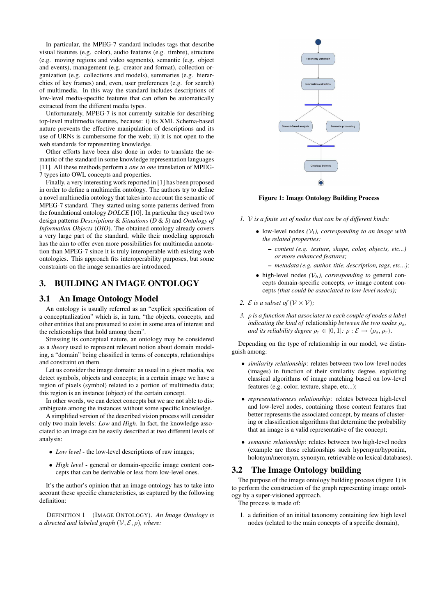In particular, the MPEG-7 standard includes tags that describe visual features (e.g. color), audio features (e.g. timbre), structure (e.g. moving regions and video segments), semantic (e.g. object and events), management (e.g. creator and format), collection organization (e.g. collections and models), summaries (e.g. hierarchies of key frames) and, even, user preferences (e.g. for search) of multimedia. In this way the standard includes descriptions of low-level media-specific features that can often be automatically extracted from the different media types.

Unfortunately, MPEG-7 is not currently suitable for describing top-level multimedia features, because: i) its XML Schema-based nature prevents the effective manipulation of descriptions and its use of URNs is cumbersome for the web; ii) it is not open to the web standards for representing knowledge.

Other efforts have been also done in order to translate the semantic of the standard in some knowledge representation languages [11]. All these methods perform a *one to one* translation of MPEG-7 types into OWL concepts and properties.

Finally, a very interesting work reported in [1] has been proposed in order to define a multimedia ontology. The authors try to define a novel multimedia ontology that takes into account the semantic of MPEG-7 standard. They started using some patterns derived from the foundational ontology *DOLCE* [10]. In particular they used two design patterns *Descriptions* & *Situations* (*D* & *S*) and *Ontology of Information Objects* (*OIO*). The obtained ontology already covers a very large part of the standard, while their modeling approach has the aim to offer even more possibilities for multimedia annotation than MPEG-7 since it is truly interoperable with existing web ontologies. This approach fits interoperability purposes, but some constraints on the image semantics are introduced.

## 3. BUILDING AN IMAGE ONTOLOGY

#### 3.1 An Image Ontology Model

An ontology is usually referred as an "explicit specification of a conceptualization" which is, in turn, "the objects, concepts, and other entities that are presumed to exist in some area of interest and the relationships that hold among them".

Stressing its conceptual nature, an ontology may be considered as a *theory* used to represent relevant notion about domain modeling, a "domain" being classified in terms of concepts, relationships and constraint on them.

Let us consider the image domain: as usual in a given media, we detect symbols, objects and concepts; in a certain image we have a region of pixels (symbol) related to a portion of multimedia data; this region is an instance (object) of the certain concept.

In other words, we can detect concepts but we are not able to disambiguate among the instances without some specific knowledge.

A simplified version of the described vision process will consider only two main levels: *Low* and *High*. In fact, the knowledge associated to an image can be easily described at two different levels of analysis:

- *Low level* the low-level descriptions of raw images;
- *High level* general or domain-specific image content concepts that can be derivable or less from low-level ones.

It's the author's opinion that an image ontology has to take into account these specific characteristics, as captured by the following definition:

DEFINITION 1 (IMAGE ONTOLOGY). *An Image Ontology is a directed and labeled graph*  $(V, E, \rho)$ *, where:* 



## Figure 1: Image Ontology Building Process

- *1.* V *is a finite set of nodes that can be of different kinds:*
	- low-level nodes  $(V_l)$ *, corresponding to an image with the related properties:*
		- *content (e.g. texture, shape, color, objects, etc...) or more enhanced features;*
		- *metadata (e.g. author, title, description, tags, etc...);*
	- $\bullet$  high-level nodes  $(\mathcal{V}_h)$ *, corresponding to* general concepts domain-specific concepts*, or* image content concepts *(that could be associated to low-level nodes);*
- 2. *E is a subset of*  $(\mathcal{V} \times \mathcal{V})$ *;*
- *3.* ρ *is a function that associates to each couple of nodes a label indicating the kind of relationship between the two nodes*  $\rho_s$ , *and its reliability degree*  $\rho_r \in [0, 1]$ *:*  $\rho$  *:*  $\mathcal{E} \rightarrow \langle \rho_s, \rho_r \rangle$ *.*

Depending on the type of relationship in our model, we distinguish among:

- *similarity relationship*: relates between two low-level nodes (images) in function of their similarity degree, exploiting classical algorithms of image matching based on low-level features (e.g. color, texture, shape, etc...);
- *representativeness relationship*: relates between high-level and low-level nodes, containing those content features that better represents the associated concept, by means of clustering or classification algorithms that determine the probability that an image is a valid representative of the concept;
- *semantic relationship*: relates between two high-level nodes (example are those relationships such hypernym/hyponim, holonym/meronym, synonym, retrievable on lexical databases).

## 3.2 The Image Ontology building

The purpose of the image ontology building process (figure 1) is to perform the construction of the graph representing image ontology by a super-visioned approach.

The process is made of:

1. a definition of an initial taxonomy containing few high level nodes (related to the main concepts of a specific domain),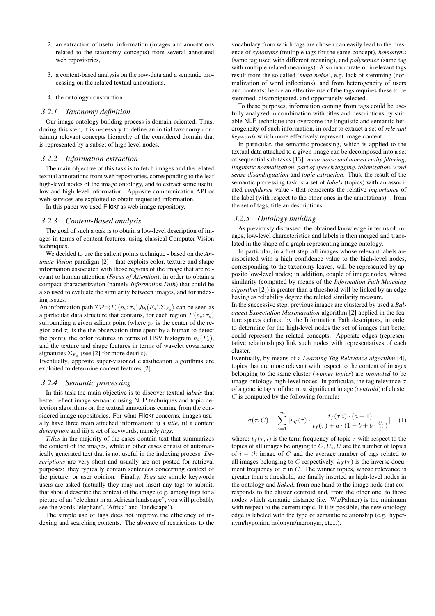- 2. an extraction of useful information (images and annotations related to the taxonomy concepts) from several annotated web repositories.
- 3. a content-based analysis on the row-data and a semantic processing on the related textual annotations,

#### 4. the ontology construction.

#### *3.2.1 Taxonomy definition*

Our image ontology building process is domain-oriented. Thus, during this step, it is necessary to define an initial taxonomy containing relevant concepts hierarchy of the considered domain that is represented by a subset of high level nodes.

#### *3.2.2 Information extraction*

The main objective of this task is to fetch images and the related textual annotations from web repositories, corresponding to the leaf high-level nodes of the image ontology, and to extract some useful low and high level information. Apposite communication API or web-services are exploited to obtain requested information.

In this paper we used Flickr as web image repository.

#### *3.2.3 Content-Based analysis*

The goal of such a task is to obtain a low-level description of images in terms of content features, using classical Computer Vision techniques.

We decided to use the salient points technique - based on the *Animate Vision* paradigm [2] - that exploits color, texture and shape information associated with those regions of the image that are relevant to human attention (*Focus of Attention*), in order to obtain a compact characterization (namely *Information Path*) that could be also used to evaluate the similarity between images, and for indexing issues.

An information path  $\mathcal{IP}=\langle F_s(p_s;\tau_s),h_b(F_s),\Sigma_{F_s}\rangle$  can be seen as a particular data structure that contains, for each region  $F(p_s; \tau_s)$ surrounding a given salient point (where  $p<sub>s</sub>$  is the center of the region and  $\tau_s$  is the the observation time spent by a human to detect the point), the color features in terms of HSV histogram  $h_b(F_s)$ , and the texture and shape features in terms of wavelet covariance signatures  $\Sigma_{F_s}$  (see [2] for more details).

Eventually, apposite super-visioned classification algorithms are exploited to determine content features [2].

#### *3.2.4 Semantic processing*

In this task the main objective is to discover textual *labels* that better reflect image semantic using NLP techniques and topic detection algorithms on the textual annotations coming from the considered image repositories. For what Flickr concerns, images usually have three main attached information: i) a *title*, ii) a content *description* and iii) a set of keywords, namely *tags*.

*Titles* in the majority of the cases contain text that summarizes the content of the images, while in other cases consist of automatically generated text that is not useful in the indexing process. *Descriptions* are very short and usually are not posted for retrieval purposes: they typically contain sentences concerning context of the picture, or user opinion. Finally, *Tags* are simple keywords users are asked (actually they may not insert any tag) to submit, that should describe the context of the image (e.g. among tags for a picture of an "elephant in an African landscape", you will probably see the words 'elephant', 'Africa' and 'landscape').

The simple use of tags does not improve the efficiency of indexing and searching contents. The absence of restrictions to the

vocabulary from which tags are chosen can easily lead to the presence of *synonyms* (multiple tags for the same concept), *homonyms* (same tag used with different meaning), and *polysemies* (same tag with multiple related meanings). Also inaccurate or irrelevant tags result from the so called *'meta-noise'*, e.g. lack of stemming (normalization of word inflections), and from heterogeneity of users and contexts: hence an effective use of the tags requires these to be stemmed, disambiguated, and opportunely selected.

To these purposes, information coming from tags could be usefully analyzed in combination with titles and descriptions by suitable NLP technique that overcome the linguistic and semantic heterogeneity of such information, in order to extract a set of *relevant keywords* which more effectively represent image content.

In particular, the semantic processing, which is applied to the textual data attached to a given image can be decomposed into a set of sequential sub-tasks [13]: *meta-noise and named entity filtering*, *linguistic normalization*, *part of speech tagging*, *tokenization*, *word sense disambiguation* and *topic extraction*. Thus, the result of the semantic processing task is a set of *labels* (topics) with an associated *confidence* value - that represents the relative *importance* of the label (with respect to the other ones in the annotations) -, from the set of tags, title an descriptions.

#### *3.2.5 Ontology building*

As previously discussed, the obtained knowledge in terms of images, low-level characteristics and labels is then merged and translated in the shape of a graph representing image ontology.

In particular, in a first step, all images whose relevant labels are associated with a high confidence value to the high-level nodes, corresponding to the taxonomy leaves, will be represented by apposite low-level nodes; in addition, couple of image nodes, whose similarity (computed by means of the *Information Path Matching algorithm* [2]) is greater than a threshold will be linked by an edge having as reliability degree the related similarity measure.

In the successive step, previous images are clustered by used a *Balanced Expectation Maximazation* algorithm [2] applied in the feature spaces defined by the Information Path descriptors, in order to determine for the high-level nodes the set of images that better could represent the related concepts. Apposite edges (representative relationships) link such nodes with representatives of each cluster.

Eventually, by means of a *Learning Tag Relevance algorithm* [4], topics that are more relevant with respect to the content of images belonging to the same cluster (*winner topics*) are *promoted* to be image ontology high-level nodes. In particular, the tag relevance  $\sigma$ of a generic tag  $\tau$  of the most significant image *(centroid)* of cluster  $C$  is computed by the following formula:

$$
\sigma(\tau, C) = \sum_{i=1}^{m} |i_{df}(\tau) \cdot \frac{t_f(\tau.i) \cdot (a+1)}{t_f(\tau) + a \cdot (1 - b + b \cdot \frac{U_i}{\overline{U}})}| \quad (1)
$$

where:  $t_f(\tau, i)$  is the term frequency of topic  $\tau$  with respect to the topics of all images belonging to  $C, U_i, \overline{U}$  are the number of topics of  $i - th$  image of C and the average number of tags related to all images belonging to C respectively,  $i_{df}(\tau)$  is the inverse document frequency of  $\tau$  in C. The winner topics, whose relevance is greater than a threshold, are finally inserted as high-level nodes in the ontology and *linked*, from one hand to the image node that corresponds to the cluster centroid and, from the other one, to those nodes which semantic distance (i.e. Wu/Palmer) is the minimum with respect to the current topic. If it is possible, the new ontology edge is labeled with the type of semantic relationship (e.g. hypernym/hyponim, holonym/meronym, etc...).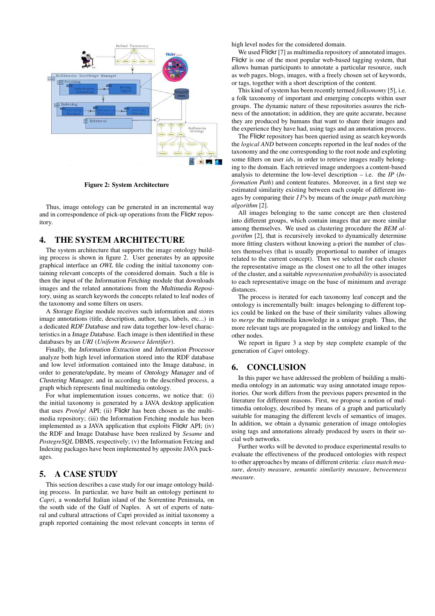

Figure 2: System Architecture

Thus, image ontology can be generated in an incremental way and in correspondence of pick-up operations from the Flickr repository.

## 4. THE SYSTEM ARCHITECTURE

The system architecture that supports the image ontology building process is shown in figure 2. User generates by an apposite graphical interface an *OWL* file coding the initial taxonomy containing relevant concepts of the considered domain. Such a file is then the input of the Information Fetching module that downloads images and the related annotations from the Multimedia Repository, using as search keywords the concepts related to leaf nodes of the taxonomy and some filters on users.

A Storage Engine module receives such information and stores image annotations (title, description, author, tags, labels, etc...) in a dedicated RDF Database and raw data together low-level characteristics in a Image Database. Each image is then identified in these databases by an *URI* (*Uniform Resource Identifier*).

Finally, the Information Extraction and Information Processor analyze both high level information stored into the RDF database and low level information contained into the Image database, in order to generate/update, by means of Ontology Manager and of Clustering Manager, and in according to the described process, a graph which represents final multimedia ontology.

For what implementation issues concerns, we notice that: (i) the initial taxonomy is generated by a JAVA desktop application that uses *Protégé* API; (ii) Flickr has been chosen as the multimedia repository; (iii) the Information Fetching module has been implemented as a JAVA application that exploits Flickr API; (iv) the RDF and Image Database have been realized by *Sesame* and *PostegreSQL* DBMS, respectively; (v) the Information Fetcing and Indexing packages have been implemented by apposite JAVA packages.

## 5. A CASE STUDY

This section describes a case study for our image ontology building process. In particular, we have built an ontology pertinent to *Capri*, a wonderful Italian island of the Sorrentine Peninsula, on the south side of the Gulf of Naples. A set of experts of natural and cultural attractions of Capri provided as initial taxonomy a graph reported containing the most relevant concepts in terms of high level nodes for the considered domain.

We used Flickr [7] as multimedia repository of annotated images. Flickr is one of the most popular web-based tagging system, that allows human participants to annotate a particular resource, such as web pages, blogs, images, with a freely chosen set of keywords, or tags, together with a short description of the content.

This kind of system has been recently termed *folksonomy* [5], i.e. a folk taxonomy of important and emerging concepts within user groups. The dynamic nature of these repositories assures the richness of the annotation; in addition, they are quite accurate, because they are produced by humans that want to share their images and the experience they have had, using tags and an annotation process.

The Flickr repository has been queried using as search keywords the *logical AND* between concepts reported in the leaf nodes of the taxonomy and the one corresponding to the root node and exploting some filters on user *id*s, in order to retrieve images really belonging to the domain. Each retrieved image undergoes a content-based analysis to determine the low-level description – i.e. the *IP* (*Information Path*) and content features. Moreover, in a first step we estimated similarity existing between each couple of different images by comparing their IPs by means of the *image path matching algorithm* [2].

All images belonging to the same concept are then clustered into different groups, which contain images that are more similar among themselves. We used as clustering procedure the *BEM algorithm* [2], that is recursively invoked to dynamically determine more fitting clusters without knowing a-priori the number of clusters themselves (that is usually proportional to number of images related to the current concept). Then we selected for each cluster the representative image as the closest one to all the other images of the cluster, and a suitable *representation probability* is associated to each representative image on the base of minimum and average distances.

The process is iterated for each taxonomy leaf concept and the ontology is incrementally built: images belonging to different topics could be linked on the base of their similarity values allowing to *merge* the multimedia knowledge in a unique graph. Thus, the more relevant tags are propagated in the ontology and linked to the other nodes.

We report in figure 3 a step by step complete example of the generation of *Capri* ontology.

## 6. CONCLUSION

In this paper we have addressed the problem of building a multimedia ontology in an automatic way using annotated image repositories. Our work differs from the previous papers presented in the literature for different reasons. First, we propose a notion of multimedia ontology, described by means of a graph and particularly suitable for managing the different levels of semantics of images. In addition, we obtain a dynamic generation of image ontologies using tags and annotations already produced by users in their social web networks.

Further works will be devoted to produce experimental results to evaluate the effectiveness of the produced ontologies with respect to other approaches by means of different criteria: *class match measure*, *density measure*, *semantic similarity measure*, *betweenness measure*.